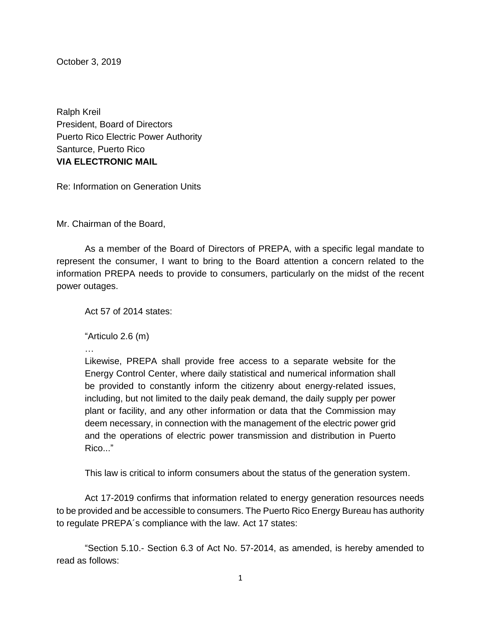October 3, 2019

Ralph Kreil President, Board of Directors Puerto Rico Electric Power Authority Santurce, Puerto Rico **VIA ELECTRONIC MAIL**

Re: Information on Generation Units

Mr. Chairman of the Board,

As a member of the Board of Directors of PREPA, with a specific legal mandate to represent the consumer, I want to bring to the Board attention a concern related to the information PREPA needs to provide to consumers, particularly on the midst of the recent power outages.

Act 57 of 2014 states:

"Articulo 2.6 (m)

…

Likewise, PREPA shall provide free access to a separate website for the Energy Control Center, where daily statistical and numerical information shall be provided to constantly inform the citizenry about energy-related issues, including, but not limited to the daily peak demand, the daily supply per power plant or facility, and any other information or data that the Commission may deem necessary, in connection with the management of the electric power grid and the operations of electric power transmission and distribution in Puerto Rico..."

This law is critical to inform consumers about the status of the generation system.

Act 17-2019 confirms that information related to energy generation resources needs to be provided and be accessible to consumers. The Puerto Rico Energy Bureau has authority to regulate PREPA´s compliance with the law. Act 17 states:

"Section 5.10.- Section 6.3 of Act No. 57-2014, as amended, is hereby amended to read as follows: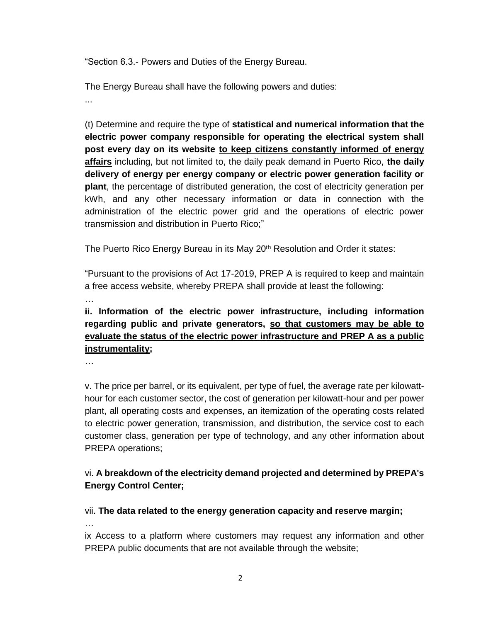"Section 6.3.- Powers and Duties of the Energy Bureau.

The Energy Bureau shall have the following powers and duties:

...

(t) Determine and require the type of **statistical and numerical information that the electric power company responsible for operating the electrical system shall post every day on its website to keep citizens constantly informed of energy affairs** including, but not limited to, the daily peak demand in Puerto Rico, **the daily delivery of energy per energy company or electric power generation facility or plant**, the percentage of distributed generation, the cost of electricity generation per kWh, and any other necessary information or data in connection with the administration of the electric power grid and the operations of electric power transmission and distribution in Puerto Rico;"

The Puerto Rico Energy Bureau in its May 20<sup>th</sup> Resolution and Order it states:

"Pursuant to the provisions of Act 17-2019, PREP A is required to keep and maintain a free access website, whereby PREPA shall provide at least the following:

…

## **ii. Information of the electric power infrastructure, including information regarding public and private generators, so that customers may be able to evaluate the status of the electric power infrastructure and PREP A as a public instrumentality;**

…

v. The price per barrel, or its equivalent, per type of fuel, the average rate per kilowatthour for each customer sector, the cost of generation per kilowatt-hour and per power plant, all operating costs and expenses, an itemization of the operating costs related to electric power generation, transmission, and distribution, the service cost to each customer class, generation per type of technology, and any other information about PREPA operations;

## vi. **A breakdown of the electricity demand projected and determined by PREPA's Energy Control Center;**

## vii. **The data related to the energy generation capacity and reserve margin;**

…

ix Access to a platform where customers may request any information and other PREPA public documents that are not available through the website;